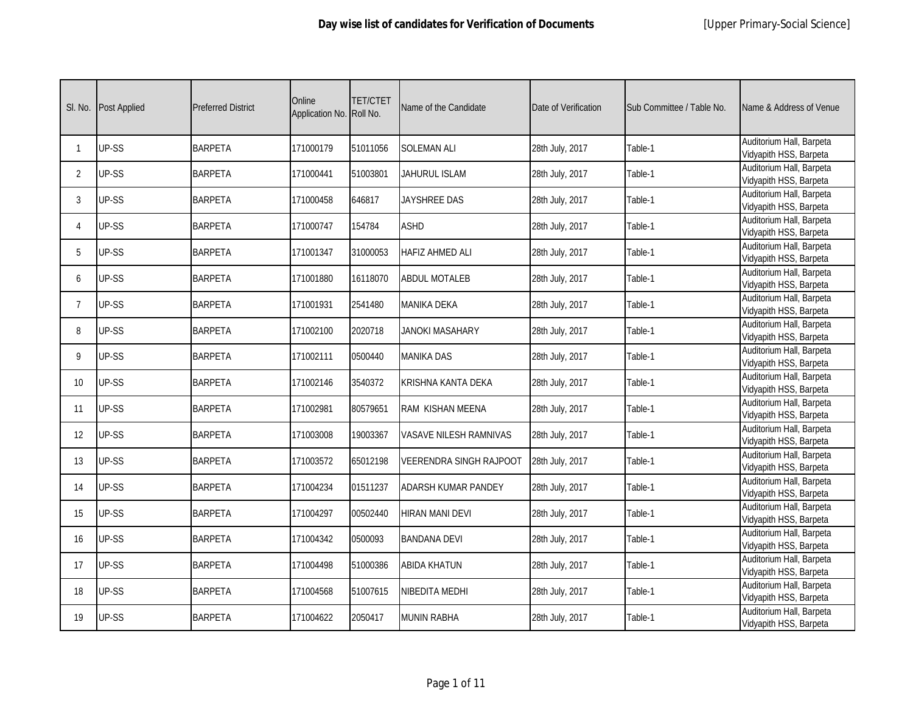| SI. No.         | Post Applied | <b>Preferred District</b> | Online<br>Application No. | TET/CTET<br>Roll No. | Name of the Candidate          | Date of Verification | Sub Committee / Table No. | Name & Address of Venue                            |
|-----------------|--------------|---------------------------|---------------------------|----------------------|--------------------------------|----------------------|---------------------------|----------------------------------------------------|
| $\mathbf{1}$    | UP-SS        | <b>BARPETA</b>            | 171000179                 | 51011056             | <b>SOLEMAN ALI</b>             | 28th July, 2017      | Table-1                   | Auditorium Hall, Barpeta<br>Vidyapith HSS, Barpeta |
| $\overline{2}$  | UP-SS        | <b>BARPETA</b>            | 171000441                 | 51003801             | JAHURUL ISLAM                  | 28th July, 2017      | Table-1                   | Auditorium Hall, Barpeta<br>Vidyapith HSS, Barpeta |
| 3               | UP-SS        | <b>BARPETA</b>            | 171000458                 | 646817               | JAYSHREE DAS                   | 28th July, 2017      | Table-1                   | Auditorium Hall, Barpeta<br>Vidyapith HSS, Barpeta |
| 4               | UP-SS        | <b>BARPETA</b>            | 171000747                 | 154784               | <b>ASHD</b>                    | 28th July, 2017      | Table-1                   | Auditorium Hall, Barpeta<br>Vidyapith HSS, Barpeta |
| 5               | UP-SS        | <b>BARPETA</b>            | 171001347                 | 31000053             | <b>HAFIZ AHMED ALI</b>         | 28th July, 2017      | Table-1                   | Auditorium Hall, Barpeta<br>Vidyapith HSS, Barpeta |
| 6               | UP-SS        | <b>BARPETA</b>            | 171001880                 | 16118070             | <b>ABDUL MOTALEB</b>           | 28th July, 2017      | Table-1                   | Auditorium Hall, Barpeta<br>Vidyapith HSS, Barpeta |
| $\overline{7}$  | UP-SS        | <b>BARPETA</b>            | 171001931                 | 2541480              | <b>MANIKA DEKA</b>             | 28th July, 2017      | Table-1                   | Auditorium Hall, Barpeta<br>Vidyapith HSS, Barpeta |
| 8               | UP-SS        | <b>BARPETA</b>            | 171002100                 | 2020718              | <b>JANOKI MASAHARY</b>         | 28th July, 2017      | Table-1                   | Auditorium Hall, Barpeta<br>Vidyapith HSS, Barpeta |
| 9               | UP-SS        | <b>BARPETA</b>            | 171002111                 | 0500440              | <b>MANIKA DAS</b>              | 28th July, 2017      | Table-1                   | Auditorium Hall, Barpeta<br>Vidyapith HSS, Barpeta |
| 10 <sup>°</sup> | UP-SS        | <b>BARPETA</b>            | 171002146                 | 3540372              | KRISHNA KANTA DEKA             | 28th July, 2017      | Table-1                   | Auditorium Hall, Barpeta<br>Vidyapith HSS, Barpeta |
| 11              | UP-SS        | <b>BARPETA</b>            | 171002981                 | 80579651             | RAM KISHAN MEENA               | 28th July, 2017      | Table-1                   | Auditorium Hall, Barpeta<br>Vidyapith HSS, Barpeta |
| 12              | UP-SS        | <b>BARPETA</b>            | 171003008                 | 19003367             | VASAVE NILESH RAMNIVAS         | 28th July, 2017      | Table-1                   | Auditorium Hall, Barpeta<br>Vidyapith HSS, Barpeta |
| 13              | UP-SS        | <b>BARPETA</b>            | 171003572                 | 65012198             | <b>VEERENDRA SINGH RAJPOOT</b> | 28th July, 2017      | Table-1                   | Auditorium Hall, Barpeta<br>Vidyapith HSS, Barpeta |
| 14              | UP-SS        | <b>BARPETA</b>            | 171004234                 | 01511237             | ADARSH KUMAR PANDEY            | 28th July, 2017      | Table-1                   | Auditorium Hall, Barpeta<br>Vidyapith HSS, Barpeta |
| 15              | UP-SS        | <b>BARPETA</b>            | 171004297                 | 00502440             | <b>HIRAN MANI DEVI</b>         | 28th July, 2017      | Table-1                   | Auditorium Hall, Barpeta<br>Vidyapith HSS, Barpeta |
| 16              | UP-SS        | <b>BARPETA</b>            | 171004342                 | 0500093              | <b>BANDANA DEVI</b>            | 28th July, 2017      | Table-1                   | Auditorium Hall, Barpeta<br>Vidyapith HSS, Barpeta |
| 17              | UP-SS        | <b>BARPETA</b>            | 171004498                 | 51000386             | <b>ABIDA KHATUN</b>            | 28th July, 2017      | Table-1                   | Auditorium Hall, Barpeta<br>Vidyapith HSS, Barpeta |
| 18              | UP-SS        | <b>BARPETA</b>            | 171004568                 | 51007615             | NIBEDITA MEDHI                 | 28th July, 2017      | Table-1                   | Auditorium Hall, Barpeta<br>Vidyapith HSS, Barpeta |
| 19              | UP-SS        | <b>BARPETA</b>            | 171004622                 | 2050417              | <b>MUNIN RABHA</b>             | 28th July, 2017      | Table-1                   | Auditorium Hall, Barpeta<br>Vidyapith HSS, Barpeta |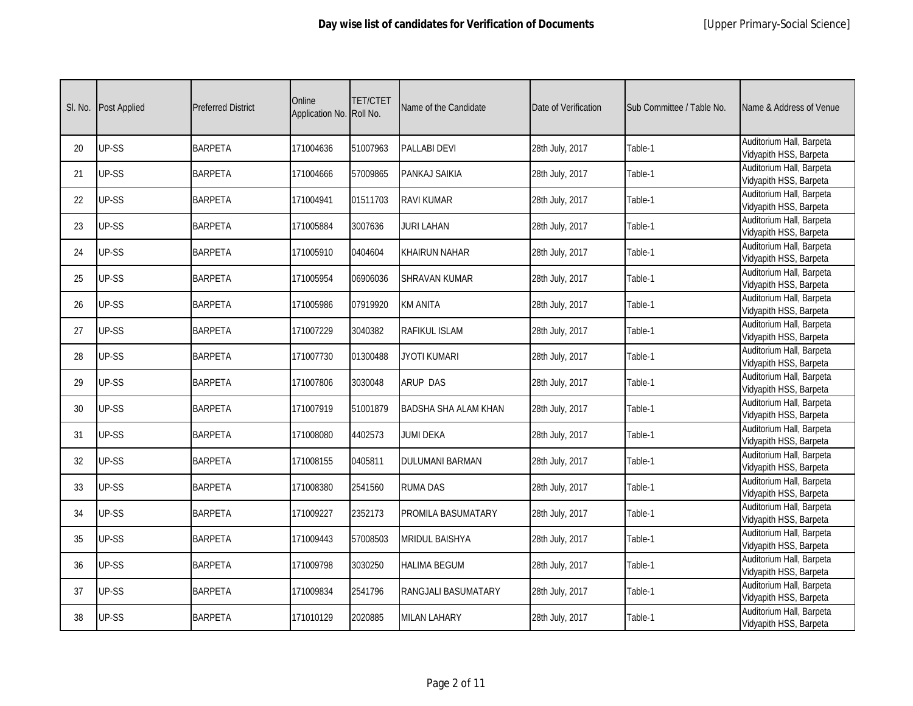| SI. No. | Post Applied | <b>Preferred District</b> | Online<br>Application No. | TET/CTET<br>Roll No. | Name of the Candidate       | Date of Verification | Sub Committee / Table No. | Name & Address of Venue                            |
|---------|--------------|---------------------------|---------------------------|----------------------|-----------------------------|----------------------|---------------------------|----------------------------------------------------|
| 20      | UP-SS        | <b>BARPETA</b>            | 171004636                 | 51007963             | <b>PALLABI DEVI</b>         | 28th July, 2017      | Table-1                   | Auditorium Hall, Barpeta<br>Vidyapith HSS, Barpeta |
| 21      | UP-SS        | <b>BARPETA</b>            | 171004666                 | 57009865             | PANKAJ SAIKIA               | 28th July, 2017      | Table-1                   | Auditorium Hall, Barpeta<br>Vidyapith HSS, Barpeta |
| 22      | UP-SS        | <b>BARPETA</b>            | 171004941                 | 01511703             | <b>RAVI KUMAR</b>           | 28th July, 2017      | Table-1                   | Auditorium Hall, Barpeta<br>Vidyapith HSS, Barpeta |
| 23      | UP-SS        | <b>BARPETA</b>            | 171005884                 | 3007636              | <b>JURI LAHAN</b>           | 28th July, 2017      | Table-1                   | Auditorium Hall, Barpeta<br>Vidyapith HSS, Barpeta |
| 24      | UP-SS        | <b>BARPETA</b>            | 171005910                 | 0404604              | <b>KHAIRUN NAHAR</b>        | 28th July, 2017      | Table-1                   | Auditorium Hall, Barpeta<br>Vidyapith HSS, Barpeta |
| 25      | UP-SS        | <b>BARPETA</b>            | 171005954                 | 06906036             | <b>SHRAVAN KUMAR</b>        | 28th July, 2017      | Table-1                   | Auditorium Hall, Barpeta<br>Vidyapith HSS, Barpeta |
| 26      | UP-SS        | <b>BARPETA</b>            | 171005986                 | 07919920             | <b>KM ANITA</b>             | 28th July, 2017      | Table-1                   | Auditorium Hall, Barpeta<br>Vidyapith HSS, Barpeta |
| 27      | UP-SS        | <b>BARPETA</b>            | 171007229                 | 3040382              | <b>RAFIKUL ISLAM</b>        | 28th July, 2017      | Table-1                   | Auditorium Hall, Barpeta<br>Vidyapith HSS, Barpeta |
| 28      | UP-SS        | <b>BARPETA</b>            | 171007730                 | 01300488             | <b>JYOTI KUMARI</b>         | 28th July, 2017      | Table-1                   | Auditorium Hall, Barpeta<br>Vidyapith HSS, Barpeta |
| 29      | UP-SS        | <b>BARPETA</b>            | 171007806                 | 3030048              | <b>ARUP DAS</b>             | 28th July, 2017      | Table-1                   | Auditorium Hall, Barpeta<br>Vidyapith HSS, Barpeta |
| 30      | UP-SS        | <b>BARPETA</b>            | 171007919                 | 51001879             | <b>BADSHA SHA ALAM KHAN</b> | 28th July, 2017      | Table-1                   | Auditorium Hall, Barpeta<br>Vidyapith HSS, Barpeta |
| 31      | UP-SS        | <b>BARPETA</b>            | 171008080                 | 4402573              | JUMI DEKA                   | 28th July, 2017      | Table-1                   | Auditorium Hall, Barpeta<br>Vidyapith HSS, Barpeta |
| 32      | UP-SS        | <b>BARPETA</b>            | 171008155                 | 0405811              | <b>DULUMANI BARMAN</b>      | 28th July, 2017      | Table-1                   | Auditorium Hall, Barpeta<br>Vidyapith HSS, Barpeta |
| 33      | UP-SS        | <b>BARPETA</b>            | 171008380                 | 2541560              | <b>RUMA DAS</b>             | 28th July, 2017      | Table-1                   | Auditorium Hall, Barpeta<br>Vidyapith HSS, Barpeta |
| 34      | UP-SS        | <b>BARPETA</b>            | 171009227                 | 2352173              | <b>PROMILA BASUMATARY</b>   | 28th July, 2017      | Table-1                   | Auditorium Hall, Barpeta<br>Vidyapith HSS, Barpeta |
| 35      | UP-SS        | <b>BARPETA</b>            | 171009443                 | 57008503             | <b>MRIDUL BAISHYA</b>       | 28th July, 2017      | Table-1                   | Auditorium Hall, Barpeta<br>Vidyapith HSS, Barpeta |
| 36      | UP-SS        | <b>BARPETA</b>            | 171009798                 | 3030250              | <b>HALIMA BEGUM</b>         | 28th July, 2017      | Table-1                   | Auditorium Hall, Barpeta<br>Vidyapith HSS, Barpeta |
| 37      | UP-SS        | <b>BARPETA</b>            | 171009834                 | 2541796              | <b>RANGJALI BASUMATARY</b>  | 28th July, 2017      | Table-1                   | Auditorium Hall, Barpeta<br>Vidyapith HSS, Barpeta |
| 38      | UP-SS        | <b>BARPETA</b>            | 171010129                 | 2020885              | <b>MILAN LAHARY</b>         | 28th July, 2017      | Table-1                   | Auditorium Hall, Barpeta<br>Vidyapith HSS, Barpeta |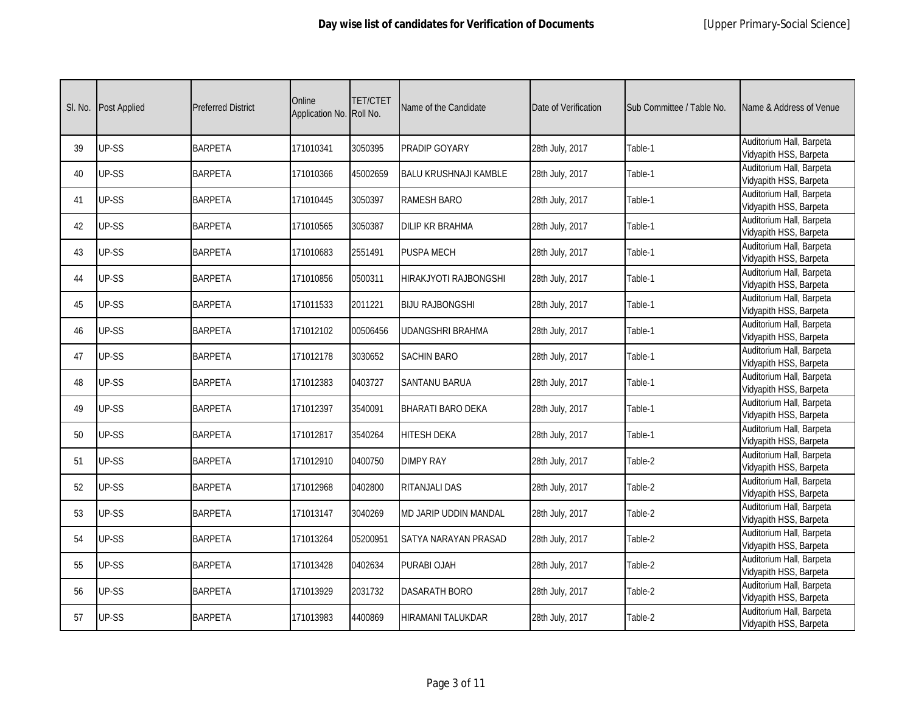| SI. No. | Post Applied | <b>Preferred District</b> | Online<br>Application No. | TET/CTET<br>Roll No. | Name of the Candidate        | Date of Verification | Sub Committee / Table No. | Name & Address of Venue                            |
|---------|--------------|---------------------------|---------------------------|----------------------|------------------------------|----------------------|---------------------------|----------------------------------------------------|
| 39      | UP-SS        | <b>BARPETA</b>            | 171010341                 | 3050395              | PRADIP GOYARY                | 28th July, 2017      | Table-1                   | Auditorium Hall, Barpeta<br>Vidyapith HSS, Barpeta |
| 40      | UP-SS        | <b>BARPETA</b>            | 171010366                 | 45002659             | <b>BALU KRUSHNAJI KAMBLE</b> | 28th July, 2017      | Table-1                   | Auditorium Hall, Barpeta<br>Vidyapith HSS, Barpeta |
| 41      | UP-SS        | <b>BARPETA</b>            | 171010445                 | 3050397              | <b>RAMESH BARO</b>           | 28th July, 2017      | Table-1                   | Auditorium Hall, Barpeta<br>Vidyapith HSS, Barpeta |
| 42      | UP-SS        | <b>BARPETA</b>            | 171010565                 | 3050387              | <b>DILIP KR BRAHMA</b>       | 28th July, 2017      | Table-1                   | Auditorium Hall, Barpeta<br>Vidyapith HSS, Barpeta |
| 43      | UP-SS        | <b>BARPETA</b>            | 171010683                 | 2551491              | <b>PUSPA MECH</b>            | 28th July, 2017      | Table-1                   | Auditorium Hall, Barpeta<br>Vidyapith HSS, Barpeta |
| 44      | UP-SS        | <b>BARPETA</b>            | 171010856                 | 0500311              | HIRAKJYOTI RAJBONGSHI        | 28th July, 2017      | Table-1                   | Auditorium Hall, Barpeta<br>Vidyapith HSS, Barpeta |
| 45      | UP-SS        | <b>BARPETA</b>            | 171011533                 | 2011221              | <b>BIJU RAJBONGSHI</b>       | 28th July, 2017      | Table-1                   | Auditorium Hall, Barpeta<br>Vidyapith HSS, Barpeta |
| 46      | UP-SS        | <b>BARPETA</b>            | 171012102                 | 00506456             | UDANGSHRI BRAHMA             | 28th July, 2017      | Table-1                   | Auditorium Hall, Barpeta<br>Vidyapith HSS, Barpeta |
| 47      | UP-SS        | <b>BARPETA</b>            | 171012178                 | 3030652              | <b>SACHIN BARO</b>           | 28th July, 2017      | Table-1                   | Auditorium Hall, Barpeta<br>Vidyapith HSS, Barpeta |
| 48      | UP-SS        | <b>BARPETA</b>            | 171012383                 | 0403727              | <b>SANTANU BARUA</b>         | 28th July, 2017      | Table-1                   | Auditorium Hall, Barpeta<br>Vidyapith HSS, Barpeta |
| 49      | UP-SS        | <b>BARPETA</b>            | 171012397                 | 3540091              | <b>BHARATI BARO DEKA</b>     | 28th July, 2017      | Table-1                   | Auditorium Hall, Barpeta<br>Vidyapith HSS, Barpeta |
| 50      | UP-SS        | <b>BARPETA</b>            | 171012817                 | 3540264              | <b>HITESH DEKA</b>           | 28th July, 2017      | Table-1                   | Auditorium Hall, Barpeta<br>Vidyapith HSS, Barpeta |
| 51      | UP-SS        | <b>BARPETA</b>            | 171012910                 | 0400750              | <b>DIMPY RAY</b>             | 28th July, 2017      | Table-2                   | Auditorium Hall, Barpeta<br>Vidyapith HSS, Barpeta |
| 52      | UP-SS        | <b>BARPETA</b>            | 171012968                 | 0402800              | RITANJALI DAS                | 28th July, 2017      | Table-2                   | Auditorium Hall, Barpeta<br>Vidyapith HSS, Barpeta |
| 53      | UP-SS        | <b>BARPETA</b>            | 171013147                 | 3040269              | MD JARIP UDDIN MANDAL        | 28th July, 2017      | Table-2                   | Auditorium Hall, Barpeta<br>Vidyapith HSS, Barpeta |
| 54      | UP-SS        | <b>BARPETA</b>            | 171013264                 | 05200951             | SATYA NARAYAN PRASAD         | 28th July, 2017      | Table-2                   | Auditorium Hall, Barpeta<br>Vidyapith HSS, Barpeta |
| 55      | UP-SS        | <b>BARPETA</b>            | 171013428                 | 0402634              | PURABI OJAH                  | 28th July, 2017      | Table-2                   | Auditorium Hall, Barpeta<br>Vidyapith HSS, Barpeta |
| 56      | UP-SS        | <b>BARPETA</b>            | 171013929                 | 2031732              | DASARATH BORO                | 28th July, 2017      | Table-2                   | Auditorium Hall, Barpeta<br>Vidyapith HSS, Barpeta |
| 57      | UP-SS        | <b>BARPETA</b>            | 171013983                 | 4400869              | <b>HIRAMANI TALUKDAR</b>     | 28th July, 2017      | Table-2                   | Auditorium Hall, Barpeta<br>Vidyapith HSS, Barpeta |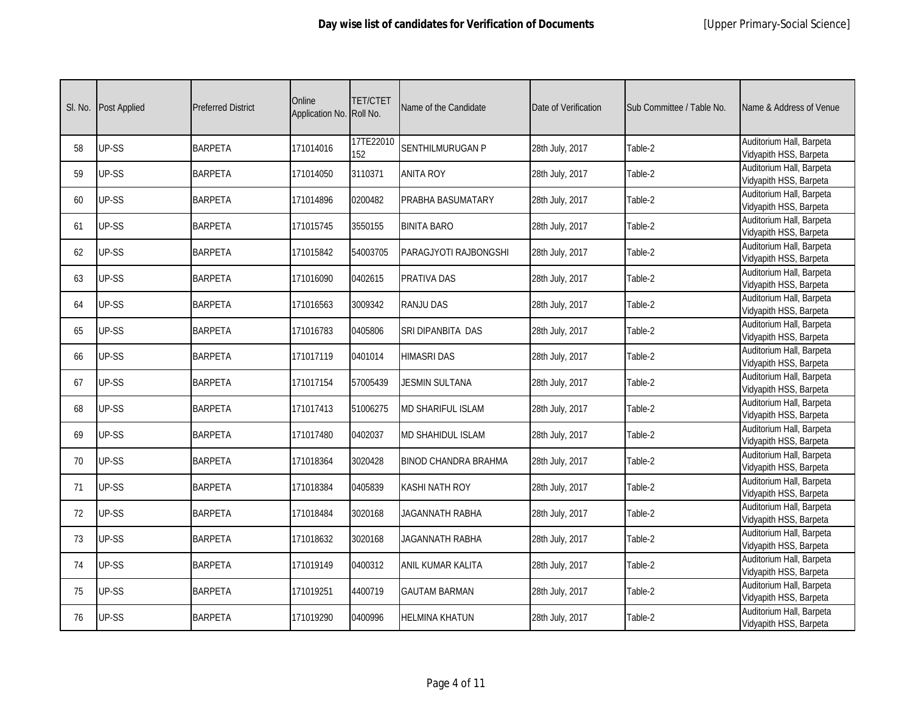| SI. No. | <b>Post Applied</b> | <b>Preferred District</b> | Online<br>Application No. | TET/CTET<br>Roll No. | Name of the Candidate       | Date of Verification | Sub Committee / Table No. | Name & Address of Venue                            |
|---------|---------------------|---------------------------|---------------------------|----------------------|-----------------------------|----------------------|---------------------------|----------------------------------------------------|
| 58      | UP-SS               | <b>BARPETA</b>            | 171014016                 | 17TE22010<br>152     | <b>SENTHILMURUGAN P</b>     | 28th July, 2017      | Table-2                   | Auditorium Hall, Barpeta<br>Vidyapith HSS, Barpeta |
| 59      | UP-SS               | <b>BARPETA</b>            | 171014050                 | 3110371              | <b>ANITA ROY</b>            | 28th July, 2017      | Table-2                   | Auditorium Hall, Barpeta<br>Vidyapith HSS, Barpeta |
| 60      | UP-SS               | <b>BARPETA</b>            | 171014896                 | 0200482              | PRABHA BASUMATARY           | 28th July, 2017      | Table-2                   | Auditorium Hall, Barpeta<br>Vidyapith HSS, Barpeta |
| 61      | UP-SS               | <b>BARPETA</b>            | 171015745                 | 3550155              | <b>BINITA BARO</b>          | 28th July, 2017      | Table-2                   | Auditorium Hall, Barpeta<br>Vidyapith HSS, Barpeta |
| 62      | UP-SS               | <b>BARPETA</b>            | 171015842                 | 54003705             | PARAGJYOTI RAJBONGSHI       | 28th July, 2017      | Table-2                   | Auditorium Hall, Barpeta<br>Vidyapith HSS, Barpeta |
| 63      | UP-SS               | <b>BARPETA</b>            | 171016090                 | 0402615              | PRATIVA DAS                 | 28th July, 2017      | Table-2                   | Auditorium Hall, Barpeta<br>Vidyapith HSS, Barpeta |
| 64      | UP-SS               | <b>BARPETA</b>            | 171016563                 | 3009342              | <b>RANJU DAS</b>            | 28th July, 2017      | Table-2                   | Auditorium Hall, Barpeta<br>Vidyapith HSS, Barpeta |
| 65      | UP-SS               | <b>BARPETA</b>            | 171016783                 | 0405806              | SRI DIPANBITA DAS           | 28th July, 2017      | Table-2                   | Auditorium Hall, Barpeta<br>Vidyapith HSS, Barpeta |
| 66      | UP-SS               | <b>BARPETA</b>            | 171017119                 | 0401014              | <b>HIMASRI DAS</b>          | 28th July, 2017      | Table-2                   | Auditorium Hall, Barpeta<br>Vidyapith HSS, Barpeta |
| 67      | UP-SS               | <b>BARPETA</b>            | 171017154                 | 57005439             | <b>JESMIN SULTANA</b>       | 28th July, 2017      | Table-2                   | Auditorium Hall, Barpeta<br>Vidyapith HSS, Barpeta |
| 68      | UP-SS               | <b>BARPETA</b>            | 171017413                 | 51006275             | <b>MD SHARIFUL ISLAM</b>    | 28th July, 2017      | Table-2                   | Auditorium Hall, Barpeta<br>Vidyapith HSS, Barpeta |
| 69      | UP-SS               | <b>BARPETA</b>            | 171017480                 | 0402037              | MD SHAHIDUL ISLAM           | 28th July, 2017      | Table-2                   | Auditorium Hall, Barpeta<br>Vidyapith HSS, Barpeta |
| 70      | UP-SS               | <b>BARPETA</b>            | 171018364                 | 3020428              | <b>BINOD CHANDRA BRAHMA</b> | 28th July, 2017      | Table-2                   | Auditorium Hall, Barpeta<br>Vidyapith HSS, Barpeta |
| 71      | UP-SS               | <b>BARPETA</b>            | 171018384                 | 0405839              | <b>KASHI NATH ROY</b>       | 28th July, 2017      | Table-2                   | Auditorium Hall, Barpeta<br>Vidyapith HSS, Barpeta |
| 72      | UP-SS               | <b>BARPETA</b>            | 171018484                 | 3020168              | JAGANNATH RABHA             | 28th July, 2017      | Table-2                   | Auditorium Hall, Barpeta<br>Vidyapith HSS, Barpeta |
| 73      | UP-SS               | <b>BARPETA</b>            | 171018632                 | 3020168              | JAGANNATH RABHA             | 28th July, 2017      | Table-2                   | Auditorium Hall, Barpeta<br>Vidyapith HSS, Barpeta |
| 74      | UP-SS               | <b>BARPETA</b>            | 171019149                 | 0400312              | <b>ANIL KUMAR KALITA</b>    | 28th July, 2017      | Table-2                   | Auditorium Hall, Barpeta<br>Vidyapith HSS, Barpeta |
| 75      | UP-SS               | <b>BARPETA</b>            | 171019251                 | 4400719              | <b>GAUTAM BARMAN</b>        | 28th July, 2017      | Table-2                   | Auditorium Hall, Barpeta<br>Vidyapith HSS, Barpeta |
| 76      | UP-SS               | <b>BARPETA</b>            | 171019290                 | 0400996              | <b>HELMINA KHATUN</b>       | 28th July, 2017      | Table-2                   | Auditorium Hall, Barpeta<br>Vidyapith HSS, Barpeta |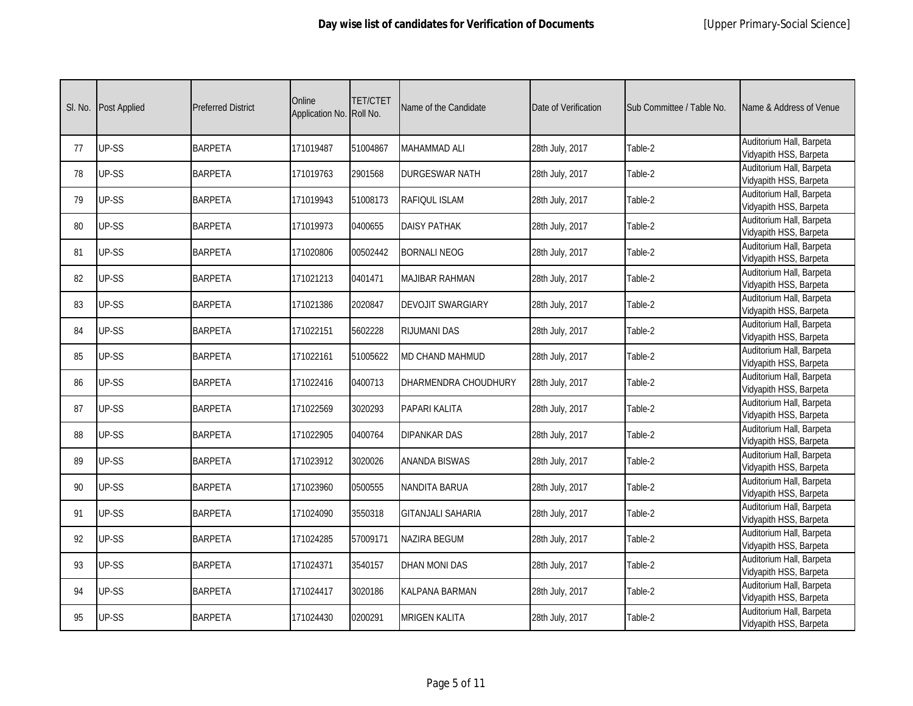| SI. No. | Post Applied | <b>Preferred District</b> | Online<br>Application No. Roll No. | TET/CTET | Name of the Candidate    | Date of Verification | Sub Committee / Table No. | Name & Address of Venue                            |
|---------|--------------|---------------------------|------------------------------------|----------|--------------------------|----------------------|---------------------------|----------------------------------------------------|
| 77      | UP-SS        | <b>BARPETA</b>            | 171019487                          | 51004867 | <b>MAHAMMAD ALI</b>      | 28th July, 2017      | Table-2                   | Auditorium Hall, Barpeta<br>Vidyapith HSS, Barpeta |
| 78      | UP-SS        | <b>BARPETA</b>            | 171019763                          | 2901568  | <b>DURGESWAR NATH</b>    | 28th July, 2017      | Table-2                   | Auditorium Hall, Barpeta<br>Vidyapith HSS, Barpeta |
| 79      | UP-SS        | <b>BARPETA</b>            | 171019943                          | 51008173 | RAFIQUL ISLAM            | 28th July, 2017      | Table-2                   | Auditorium Hall, Barpeta<br>Vidyapith HSS, Barpeta |
| 80      | UP-SS        | <b>BARPETA</b>            | 171019973                          | 0400655  | <b>DAISY PATHAK</b>      | 28th July, 2017      | Table-2                   | Auditorium Hall, Barpeta<br>Vidyapith HSS, Barpeta |
| 81      | UP-SS        | <b>BARPETA</b>            | 171020806                          | 00502442 | <b>BORNALI NEOG</b>      | 28th July, 2017      | Table-2                   | Auditorium Hall, Barpeta<br>Vidyapith HSS, Barpeta |
| 82      | UP-SS        | <b>BARPETA</b>            | 171021213                          | 0401471  | <b>MAJIBAR RAHMAN</b>    | 28th July, 2017      | Table-2                   | Auditorium Hall, Barpeta<br>Vidyapith HSS, Barpeta |
| 83      | UP-SS        | <b>BARPETA</b>            | 171021386                          | 2020847  | <b>DEVOJIT SWARGIARY</b> | 28th July, 2017      | Table-2                   | Auditorium Hall, Barpeta<br>Vidyapith HSS, Barpeta |
| 84      | UP-SS        | <b>BARPETA</b>            | 171022151                          | 5602228  | <b>RIJUMANI DAS</b>      | 28th July, 2017      | Table-2                   | Auditorium Hall, Barpeta<br>Vidyapith HSS, Barpeta |
| 85      | UP-SS        | <b>BARPETA</b>            | 171022161                          | 51005622 | <b>MD CHAND MAHMUD</b>   | 28th July, 2017      | Table-2                   | Auditorium Hall, Barpeta<br>Vidyapith HSS, Barpeta |
| 86      | UP-SS        | <b>BARPETA</b>            | 171022416                          | 0400713  | DHARMENDRA CHOUDHURY     | 28th July, 2017      | Table-2                   | Auditorium Hall, Barpeta<br>Vidyapith HSS, Barpeta |
| 87      | UP-SS        | <b>BARPETA</b>            | 171022569                          | 3020293  | PAPARI KALITA            | 28th July, 2017      | Table-2                   | Auditorium Hall, Barpeta<br>Vidyapith HSS, Barpeta |
| 88      | UP-SS        | <b>BARPETA</b>            | 171022905                          | 0400764  | <b>DIPANKAR DAS</b>      | 28th July, 2017      | Table-2                   | Auditorium Hall, Barpeta<br>Vidyapith HSS, Barpeta |
| 89      | UP-SS        | <b>BARPETA</b>            | 171023912                          | 3020026  | <b>ANANDA BISWAS</b>     | 28th July, 2017      | Table-2                   | Auditorium Hall, Barpeta<br>Vidyapith HSS, Barpeta |
| 90      | UP-SS        | <b>BARPETA</b>            | 171023960                          | 0500555  | <b>NANDITA BARUA</b>     | 28th July, 2017      | Table-2                   | Auditorium Hall, Barpeta<br>Vidyapith HSS, Barpeta |
| 91      | UP-SS        | <b>BARPETA</b>            | 171024090                          | 3550318  | <b>GITANJALI SAHARIA</b> | 28th July, 2017      | Table-2                   | Auditorium Hall, Barpeta<br>Vidyapith HSS, Barpeta |
| 92      | UP-SS        | <b>BARPETA</b>            | 171024285                          | 57009171 | <b>NAZIRA BEGUM</b>      | 28th July, 2017      | Table-2                   | Auditorium Hall, Barpeta<br>Vidyapith HSS, Barpeta |
| 93      | UP-SS        | <b>BARPETA</b>            | 171024371                          | 3540157  | <b>DHAN MONI DAS</b>     | 28th July, 2017      | Table-2                   | Auditorium Hall, Barpeta<br>Vidyapith HSS, Barpeta |
| 94      | UP-SS        | <b>BARPETA</b>            | 171024417                          | 3020186  | <b>KALPANA BARMAN</b>    | 28th July, 2017      | Table-2                   | Auditorium Hall, Barpeta<br>Vidyapith HSS, Barpeta |
| 95      | UP-SS        | <b>BARPETA</b>            | 171024430                          | 0200291  | <b>MRIGEN KALITA</b>     | 28th July, 2017      | Table-2                   | Auditorium Hall, Barpeta<br>Vidyapith HSS, Barpeta |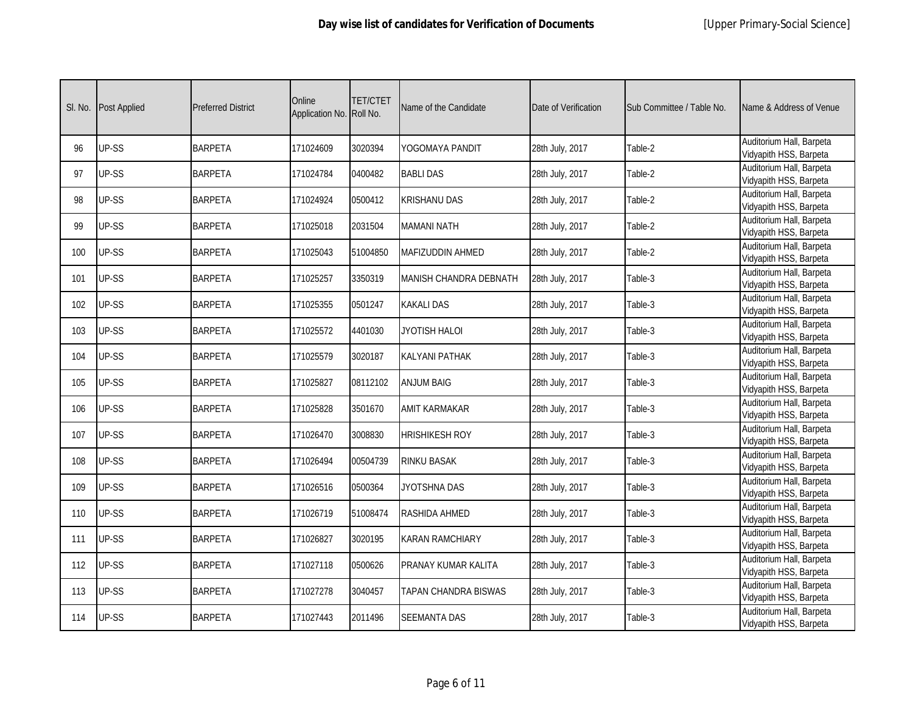| SI. No. | <b>Post Applied</b> | <b>Preferred District</b> | Online<br>Application No. | TET/CTET<br>Roll No. | Name of the Candidate      | Date of Verification | Sub Committee / Table No. | Name & Address of Venue                            |
|---------|---------------------|---------------------------|---------------------------|----------------------|----------------------------|----------------------|---------------------------|----------------------------------------------------|
| 96      | UP-SS               | <b>BARPETA</b>            | 171024609                 | 3020394              | YOGOMAYA PANDIT            | 28th July, 2017      | Table-2                   | Auditorium Hall, Barpeta<br>Vidyapith HSS, Barpeta |
| 97      | UP-SS               | <b>BARPETA</b>            | 171024784                 | 0400482              | <b>BABLI DAS</b>           | 28th July, 2017      | Table-2                   | Auditorium Hall, Barpeta<br>Vidyapith HSS, Barpeta |
| 98      | UP-SS               | <b>BARPETA</b>            | 171024924                 | 0500412              | <b>KRISHANU DAS</b>        | 28th July, 2017      | Table-2                   | Auditorium Hall, Barpeta<br>Vidyapith HSS, Barpeta |
| 99      | UP-SS               | <b>BARPETA</b>            | 171025018                 | 2031504              | MAMANI NATH                | 28th July, 2017      | Table-2                   | Auditorium Hall, Barpeta<br>Vidyapith HSS, Barpeta |
| 100     | UP-SS               | <b>BARPETA</b>            | 171025043                 | 51004850             | <b>MAFIZUDDIN AHMED</b>    | 28th July, 2017      | Table-2                   | Auditorium Hall, Barpeta<br>Vidyapith HSS, Barpeta |
| 101     | UP-SS               | <b>BARPETA</b>            | 171025257                 | 3350319              | MANISH CHANDRA DEBNATH     | 28th July, 2017      | Table-3                   | Auditorium Hall, Barpeta<br>Vidyapith HSS, Barpeta |
| 102     | UP-SS               | <b>BARPETA</b>            | 171025355                 | 0501247              | <b>KAKALI DAS</b>          | 28th July, 2017      | Table-3                   | Auditorium Hall, Barpeta<br>Vidyapith HSS, Barpeta |
| 103     | UP-SS               | <b>BARPETA</b>            | 171025572                 | 4401030              | JYOTISH HALOI              | 28th July, 2017      | Table-3                   | Auditorium Hall, Barpeta<br>Vidyapith HSS, Barpeta |
| 104     | UP-SS               | <b>BARPETA</b>            | 171025579                 | 3020187              | <b>KALYANI PATHAK</b>      | 28th July, 2017      | Table-3                   | Auditorium Hall, Barpeta<br>Vidyapith HSS, Barpeta |
| 105     | UP-SS               | <b>BARPETA</b>            | 171025827                 | 08112102             | <b>ANJUM BAIG</b>          | 28th July, 2017      | Table-3                   | Auditorium Hall, Barpeta<br>Vidyapith HSS, Barpeta |
| 106     | UP-SS               | <b>BARPETA</b>            | 171025828                 | 3501670              | <b>AMIT KARMAKAR</b>       | 28th July, 2017      | Table-3                   | Auditorium Hall, Barpeta<br>Vidyapith HSS, Barpeta |
| 107     | UP-SS               | <b>BARPETA</b>            | 171026470                 | 3008830              | <b>HRISHIKESH ROY</b>      | 28th July, 2017      | Table-3                   | Auditorium Hall, Barpeta<br>Vidyapith HSS, Barpeta |
| 108     | UP-SS               | <b>BARPETA</b>            | 171026494                 | 00504739             | <b>RINKU BASAK</b>         | 28th July, 2017      | Table-3                   | Auditorium Hall, Barpeta<br>Vidyapith HSS, Barpeta |
| 109     | UP-SS               | <b>BARPETA</b>            | 171026516                 | 0500364              | JYOTSHNA DAS               | 28th July, 2017      | Table-3                   | Auditorium Hall, Barpeta<br>Vidyapith HSS, Barpeta |
| 110     | UP-SS               | <b>BARPETA</b>            | 171026719                 | 51008474             | <b>RASHIDA AHMED</b>       | 28th July, 2017      | Table-3                   | Auditorium Hall, Barpeta<br>Vidyapith HSS, Barpeta |
| 111     | UP-SS               | <b>BARPETA</b>            | 171026827                 | 3020195              | <b>KARAN RAMCHIARY</b>     | 28th July, 2017      | Table-3                   | Auditorium Hall, Barpeta<br>Vidyapith HSS, Barpeta |
| 112     | UP-SS               | <b>BARPETA</b>            | 171027118                 | 0500626              | <b>PRANAY KUMAR KALITA</b> | 28th July, 2017      | Table-3                   | Auditorium Hall, Barpeta<br>Vidyapith HSS, Barpeta |
| 113     | UP-SS               | <b>BARPETA</b>            | 171027278                 | 3040457              | TAPAN CHANDRA BISWAS       | 28th July, 2017      | Table-3                   | Auditorium Hall, Barpeta<br>Vidyapith HSS, Barpeta |
| 114     | UP-SS               | <b>BARPETA</b>            | 171027443                 | 2011496              | <b>SEEMANTA DAS</b>        | 28th July, 2017      | Table-3                   | Auditorium Hall, Barpeta<br>Vidyapith HSS, Barpeta |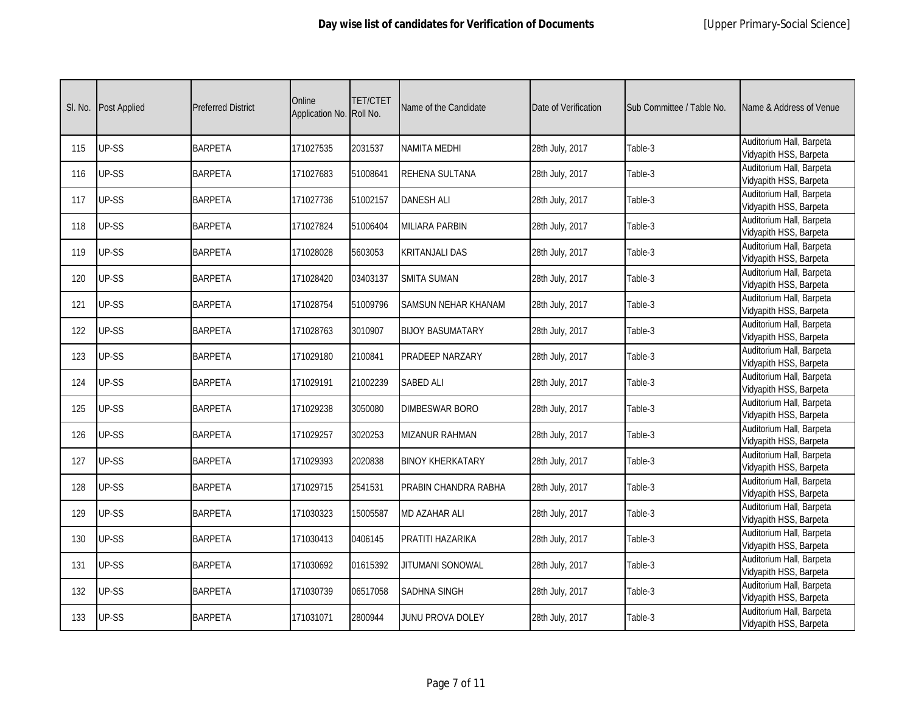| SI. No. | Post Applied | <b>Preferred District</b> | Online<br>Application No. | TET/CTET<br>Roll No. | Name of the Candidate      | Date of Verification | Sub Committee / Table No. | Name & Address of Venue                            |
|---------|--------------|---------------------------|---------------------------|----------------------|----------------------------|----------------------|---------------------------|----------------------------------------------------|
| 115     | UP-SS        | <b>BARPETA</b>            | 171027535                 | 2031537              | <b>NAMITA MEDHI</b>        | 28th July, 2017      | Table-3                   | Auditorium Hall, Barpeta<br>Vidyapith HSS, Barpeta |
| 116     | UP-SS        | <b>BARPETA</b>            | 171027683                 | 51008641             | <b>REHENA SULTANA</b>      | 28th July, 2017      | Table-3                   | Auditorium Hall, Barpeta<br>Vidyapith HSS, Barpeta |
| 117     | UP-SS        | <b>BARPETA</b>            | 171027736                 | 51002157             | <b>DANESH ALI</b>          | 28th July, 2017      | Table-3                   | Auditorium Hall, Barpeta<br>Vidyapith HSS, Barpeta |
| 118     | UP-SS        | <b>BARPETA</b>            | 171027824                 | 51006404             | <b>MILIARA PARBIN</b>      | 28th July, 2017      | Table-3                   | Auditorium Hall, Barpeta<br>Vidyapith HSS, Barpeta |
| 119     | UP-SS        | <b>BARPETA</b>            | 171028028                 | 5603053              | <b>KRITANJALI DAS</b>      | 28th July, 2017      | Table-3                   | Auditorium Hall, Barpeta<br>Vidyapith HSS, Barpeta |
| 120     | UP-SS        | <b>BARPETA</b>            | 171028420                 | 03403137             | <b>SMITA SUMAN</b>         | 28th July, 2017      | Table-3                   | Auditorium Hall, Barpeta<br>Vidyapith HSS, Barpeta |
| 121     | UP-SS        | <b>BARPETA</b>            | 171028754                 | 51009796             | <b>SAMSUN NEHAR KHANAM</b> | 28th July, 2017      | Table-3                   | Auditorium Hall, Barpeta<br>Vidyapith HSS, Barpeta |
| 122     | UP-SS        | <b>BARPETA</b>            | 171028763                 | 3010907              | <b>BIJOY BASUMATARY</b>    | 28th July, 2017      | Table-3                   | Auditorium Hall, Barpeta<br>Vidyapith HSS, Barpeta |
| 123     | UP-SS        | <b>BARPETA</b>            | 171029180                 | 2100841              | PRADEEP NARZARY            | 28th July, 2017      | Table-3                   | Auditorium Hall, Barpeta<br>Vidyapith HSS, Barpeta |
| 124     | UP-SS        | <b>BARPETA</b>            | 171029191                 | 21002239             | <b>SABED ALI</b>           | 28th July, 2017      | Table-3                   | Auditorium Hall, Barpeta<br>Vidyapith HSS, Barpeta |
| 125     | UP-SS        | <b>BARPETA</b>            | 171029238                 | 3050080              | <b>DIMBESWAR BORO</b>      | 28th July, 2017      | Table-3                   | Auditorium Hall, Barpeta<br>Vidyapith HSS, Barpeta |
| 126     | UP-SS        | <b>BARPETA</b>            | 171029257                 | 3020253              | <b>MIZANUR RAHMAN</b>      | 28th July, 2017      | Table-3                   | Auditorium Hall, Barpeta<br>Vidyapith HSS, Barpeta |
| 127     | UP-SS        | <b>BARPETA</b>            | 171029393                 | 2020838              | <b>BINOY KHERKATARY</b>    | 28th July, 2017      | Table-3                   | Auditorium Hall, Barpeta<br>Vidyapith HSS, Barpeta |
| 128     | UP-SS        | <b>BARPETA</b>            | 171029715                 | 2541531              | PRABIN CHANDRA RABHA       | 28th July, 2017      | Table-3                   | Auditorium Hall, Barpeta<br>Vidyapith HSS, Barpeta |
| 129     | UP-SS        | <b>BARPETA</b>            | 171030323                 | 15005587             | <b>MD AZAHAR ALI</b>       | 28th July, 2017      | Table-3                   | Auditorium Hall, Barpeta<br>Vidyapith HSS, Barpeta |
| 130     | UP-SS        | <b>BARPETA</b>            | 171030413                 | 0406145              | PRATITI HAZARIKA           | 28th July, 2017      | Table-3                   | Auditorium Hall, Barpeta<br>Vidyapith HSS, Barpeta |
| 131     | UP-SS        | <b>BARPETA</b>            | 171030692                 | 01615392             | <b>JITUMANI SONOWAL</b>    | 28th July, 2017      | Table-3                   | Auditorium Hall, Barpeta<br>Vidyapith HSS, Barpeta |
| 132     | UP-SS        | <b>BARPETA</b>            | 171030739                 | 06517058             | <b>SADHNA SINGH</b>        | 28th July, 2017      | Table-3                   | Auditorium Hall, Barpeta<br>Vidyapith HSS, Barpeta |
| 133     | UP-SS        | <b>BARPETA</b>            | 171031071                 | 2800944              | JUNU PROVA DOLEY           | 28th July, 2017      | Table-3                   | Auditorium Hall, Barpeta<br>Vidyapith HSS, Barpeta |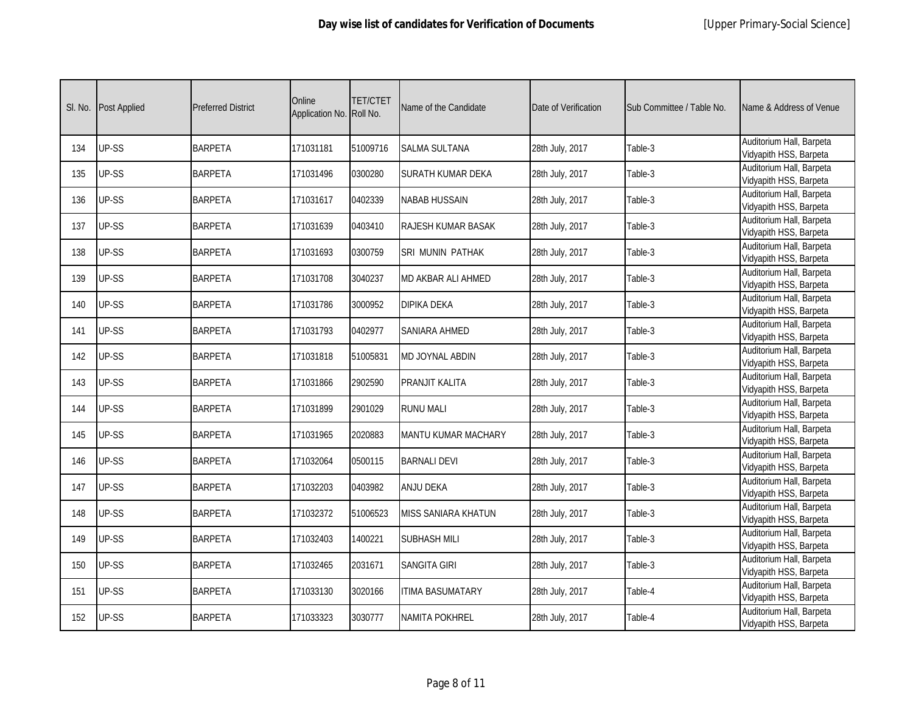| SI. No. | Post Applied | <b>Preferred District</b> | Online<br>Application No. | TET/CTET<br>Roll No. | Name of the Candidate      | Date of Verification | Sub Committee / Table No. | Name & Address of Venue                            |
|---------|--------------|---------------------------|---------------------------|----------------------|----------------------------|----------------------|---------------------------|----------------------------------------------------|
| 134     | UP-SS        | <b>BARPETA</b>            | 171031181                 | 51009716             | <b>SALMA SULTANA</b>       | 28th July, 2017      | Table-3                   | Auditorium Hall, Barpeta<br>Vidyapith HSS, Barpeta |
| 135     | UP-SS        | <b>BARPETA</b>            | 171031496                 | 0300280              | SURATH KUMAR DEKA          | 28th July, 2017      | Table-3                   | Auditorium Hall, Barpeta<br>Vidyapith HSS, Barpeta |
| 136     | UP-SS        | <b>BARPETA</b>            | 171031617                 | 0402339              | <b>NABAB HUSSAIN</b>       | 28th July, 2017      | Table-3                   | Auditorium Hall, Barpeta<br>Vidyapith HSS, Barpeta |
| 137     | UP-SS        | <b>BARPETA</b>            | 171031639                 | 0403410              | <b>RAJESH KUMAR BASAK</b>  | 28th July, 2017      | Table-3                   | Auditorium Hall, Barpeta<br>Vidyapith HSS, Barpeta |
| 138     | UP-SS        | <b>BARPETA</b>            | 171031693                 | 0300759              | SRI MUNIN PATHAK           | 28th July, 2017      | Table-3                   | Auditorium Hall, Barpeta<br>Vidyapith HSS, Barpeta |
| 139     | UP-SS        | <b>BARPETA</b>            | 171031708                 | 3040237              | <b>MD AKBAR ALI AHMED</b>  | 28th July, 2017      | Table-3                   | Auditorium Hall, Barpeta<br>Vidyapith HSS, Barpeta |
| 140     | UP-SS        | <b>BARPETA</b>            | 171031786                 | 3000952              | <b>DIPIKA DEKA</b>         | 28th July, 2017      | Table-3                   | Auditorium Hall, Barpeta<br>Vidyapith HSS, Barpeta |
| 141     | UP-SS        | <b>BARPETA</b>            | 171031793                 | 0402977              | SANIARA AHMED              | 28th July, 2017      | Table-3                   | Auditorium Hall, Barpeta<br>Vidyapith HSS, Barpeta |
| 142     | UP-SS        | <b>BARPETA</b>            | 171031818                 | 51005831             | MD JOYNAL ABDIN            | 28th July, 2017      | Table-3                   | Auditorium Hall, Barpeta<br>Vidyapith HSS, Barpeta |
| 143     | UP-SS        | <b>BARPETA</b>            | 171031866                 | 2902590              | <b>PRANJIT KALITA</b>      | 28th July, 2017      | Table-3                   | Auditorium Hall, Barpeta<br>Vidyapith HSS, Barpeta |
| 144     | UP-SS        | <b>BARPETA</b>            | 171031899                 | 2901029              | <b>RUNU MALI</b>           | 28th July, 2017      | Table-3                   | Auditorium Hall, Barpeta<br>Vidyapith HSS, Barpeta |
| 145     | UP-SS        | <b>BARPETA</b>            | 171031965                 | 2020883              | <b>MANTU KUMAR MACHARY</b> | 28th July, 2017      | Table-3                   | Auditorium Hall, Barpeta<br>Vidyapith HSS, Barpeta |
| 146     | UP-SS        | <b>BARPETA</b>            | 171032064                 | 0500115              | <b>BARNALI DEVI</b>        | 28th July, 2017      | Table-3                   | Auditorium Hall, Barpeta<br>Vidyapith HSS, Barpeta |
| 147     | UP-SS        | <b>BARPETA</b>            | 171032203                 | 0403982              | ANJU DEKA                  | 28th July, 2017      | Table-3                   | Auditorium Hall, Barpeta<br>Vidyapith HSS, Barpeta |
| 148     | UP-SS        | <b>BARPETA</b>            | 171032372                 | 51006523             | <b>MISS SANIARA KHATUN</b> | 28th July, 2017      | Table-3                   | Auditorium Hall, Barpeta<br>Vidyapith HSS, Barpeta |
| 149     | UP-SS        | <b>BARPETA</b>            | 171032403                 | 1400221              | <b>SUBHASH MILI</b>        | 28th July, 2017      | Table-3                   | Auditorium Hall, Barpeta<br>Vidyapith HSS, Barpeta |
| 150     | UP-SS        | <b>BARPETA</b>            | 171032465                 | 2031671              | <b>SANGITA GIRI</b>        | 28th July, 2017      | Table-3                   | Auditorium Hall, Barpeta<br>Vidyapith HSS, Barpeta |
| 151     | UP-SS        | <b>BARPETA</b>            | 171033130                 | 3020166              | <b>ITIMA BASUMATARY</b>    | 28th July, 2017      | Table-4                   | Auditorium Hall, Barpeta<br>Vidyapith HSS, Barpeta |
| 152     | UP-SS        | <b>BARPETA</b>            | 171033323                 | 3030777              | <b>NAMITA POKHREL</b>      | 28th July, 2017      | Table-4                   | Auditorium Hall, Barpeta<br>Vidyapith HSS, Barpeta |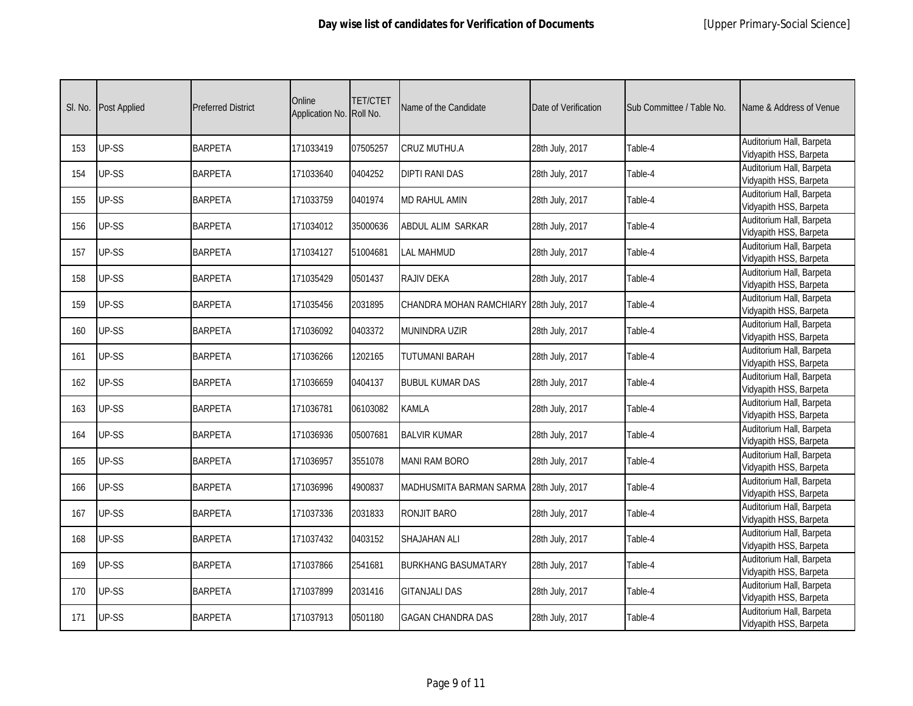| SI. No. | Post Applied | <b>Preferred District</b> | Online<br>Application No. | TET/CTET<br>Roll No. | Name of the Candidate                   | Date of Verification | Sub Committee / Table No. | Name & Address of Venue                            |
|---------|--------------|---------------------------|---------------------------|----------------------|-----------------------------------------|----------------------|---------------------------|----------------------------------------------------|
| 153     | UP-SS        | <b>BARPETA</b>            | 171033419                 | 07505257             | CRUZ MUTHU.A                            | 28th July, 2017      | Table-4                   | Auditorium Hall, Barpeta<br>Vidyapith HSS, Barpeta |
| 154     | UP-SS        | <b>BARPETA</b>            | 171033640                 | 0404252              | <b>DIPTI RANI DAS</b>                   | 28th July, 2017      | Table-4                   | Auditorium Hall, Barpeta<br>Vidyapith HSS, Barpeta |
| 155     | UP-SS        | <b>BARPETA</b>            | 171033759                 | 0401974              | <b>MD RAHUL AMIN</b>                    | 28th July, 2017      | Table-4                   | Auditorium Hall, Barpeta<br>Vidyapith HSS, Barpeta |
| 156     | UP-SS        | <b>BARPETA</b>            | 171034012                 | 35000636             | ABDUL ALIM SARKAR                       | 28th July, 2017      | Table-4                   | Auditorium Hall, Barpeta<br>Vidyapith HSS, Barpeta |
| 157     | UP-SS        | <b>BARPETA</b>            | 171034127                 | 51004681             | <b>LAL MAHMUD</b>                       | 28th July, 2017      | Table-4                   | Auditorium Hall, Barpeta<br>Vidyapith HSS, Barpeta |
| 158     | UP-SS        | <b>BARPETA</b>            | 171035429                 | 0501437              | RAJIV DEKA                              | 28th July, 2017      | Table-4                   | Auditorium Hall, Barpeta<br>Vidyapith HSS, Barpeta |
| 159     | UP-SS        | <b>BARPETA</b>            | 171035456                 | 2031895              | CHANDRA MOHAN RAMCHIARY 28th July, 2017 |                      | Table-4                   | Auditorium Hall, Barpeta<br>Vidyapith HSS, Barpeta |
| 160     | UP-SS        | <b>BARPETA</b>            | 171036092                 | 0403372              | MUNINDRA UZIR                           | 28th July, 2017      | Table-4                   | Auditorium Hall, Barpeta<br>Vidyapith HSS, Barpeta |
| 161     | UP-SS        | <b>BARPETA</b>            | 171036266                 | 1202165              | TUTUMANI BARAH                          | 28th July, 2017      | Table-4                   | Auditorium Hall, Barpeta<br>Vidyapith HSS, Barpeta |
| 162     | UP-SS        | <b>BARPETA</b>            | 171036659                 | 0404137              | <b>BUBUL KUMAR DAS</b>                  | 28th July, 2017      | Table-4                   | Auditorium Hall, Barpeta<br>Vidyapith HSS, Barpeta |
| 163     | UP-SS        | <b>BARPETA</b>            | 171036781                 | 06103082             | <b>KAMLA</b>                            | 28th July, 2017      | Table-4                   | Auditorium Hall, Barpeta<br>Vidyapith HSS, Barpeta |
| 164     | UP-SS        | <b>BARPETA</b>            | 171036936                 | 05007681             | <b>BALVIR KUMAR</b>                     | 28th July, 2017      | Table-4                   | Auditorium Hall, Barpeta<br>Vidyapith HSS, Barpeta |
| 165     | UP-SS        | <b>BARPETA</b>            | 171036957                 | 3551078              | <b>MANI RAM BORO</b>                    | 28th July, 2017      | Table-4                   | Auditorium Hall, Barpeta<br>Vidyapith HSS, Barpeta |
| 166     | UP-SS        | <b>BARPETA</b>            | 171036996                 | 4900837              | MADHUSMITA BARMAN SARMA 28th July, 2017 |                      | Table-4                   | Auditorium Hall, Barpeta<br>Vidyapith HSS, Barpeta |
| 167     | UP-SS        | <b>BARPETA</b>            | 171037336                 | 2031833              | RONJIT BARO                             | 28th July, 2017      | Table-4                   | Auditorium Hall, Barpeta<br>Vidyapith HSS, Barpeta |
| 168     | UP-SS        | <b>BARPETA</b>            | 171037432                 | 0403152              | <b>SHAJAHAN ALI</b>                     | 28th July, 2017      | Table-4                   | Auditorium Hall, Barpeta<br>Vidyapith HSS, Barpeta |
| 169     | UP-SS        | <b>BARPETA</b>            | 171037866                 | 2541681              | <b>BURKHANG BASUMATARY</b>              | 28th July, 2017      | Table-4                   | Auditorium Hall, Barpeta<br>Vidyapith HSS, Barpeta |
| 170     | UP-SS        | <b>BARPETA</b>            | 171037899                 | 2031416              | <b>GITANJALI DAS</b>                    | 28th July, 2017      | Table-4                   | Auditorium Hall, Barpeta<br>Vidyapith HSS, Barpeta |
| 171     | UP-SS        | <b>BARPETA</b>            | 171037913                 | 0501180              | <b>GAGAN CHANDRA DAS</b>                | 28th July, 2017      | Table-4                   | Auditorium Hall, Barpeta<br>Vidyapith HSS, Barpeta |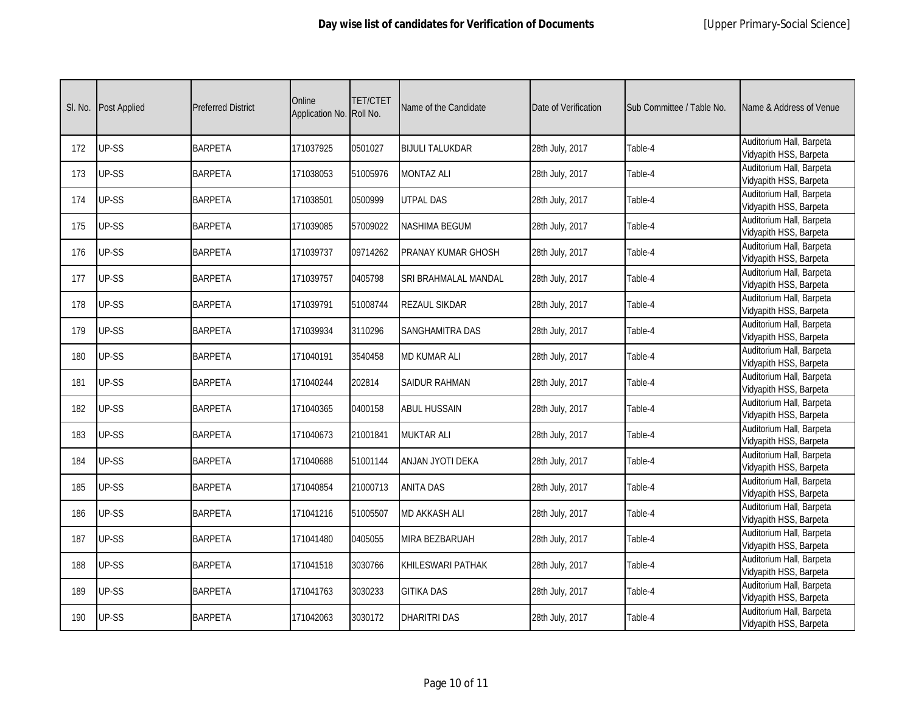| SI. No. | Post Applied | <b>Preferred District</b> | Online<br>Application No. | TET/CTET<br>Roll No. | Name of the Candidate  | Date of Verification | Sub Committee / Table No. | Name & Address of Venue                            |
|---------|--------------|---------------------------|---------------------------|----------------------|------------------------|----------------------|---------------------------|----------------------------------------------------|
| 172     | UP-SS        | <b>BARPETA</b>            | 171037925                 | 0501027              | <b>BIJULI TALUKDAR</b> | 28th July, 2017      | Table-4                   | Auditorium Hall, Barpeta<br>Vidyapith HSS, Barpeta |
| 173     | UP-SS        | <b>BARPETA</b>            | 171038053                 | 51005976             | <b>MONTAZ ALI</b>      | 28th July, 2017      | Table-4                   | Auditorium Hall, Barpeta<br>Vidyapith HSS, Barpeta |
| 174     | UP-SS        | <b>BARPETA</b>            | 171038501                 | 0500999              | <b>UTPAL DAS</b>       | 28th July, 2017      | Table-4                   | Auditorium Hall, Barpeta<br>Vidyapith HSS, Barpeta |
| 175     | UP-SS        | <b>BARPETA</b>            | 171039085                 | 57009022             | <b>NASHIMA BEGUM</b>   | 28th July, 2017      | Table-4                   | Auditorium Hall, Barpeta<br>Vidyapith HSS, Barpeta |
| 176     | UP-SS        | <b>BARPETA</b>            | 171039737                 | 09714262             | PRANAY KUMAR GHOSH     | 28th July, 2017      | Table-4                   | Auditorium Hall, Barpeta<br>Vidyapith HSS, Barpeta |
| 177     | UP-SS        | <b>BARPETA</b>            | 171039757                 | 0405798              | SRI BRAHMALAL MANDAL   | 28th July, 2017      | Table-4                   | Auditorium Hall, Barpeta<br>Vidyapith HSS, Barpeta |
| 178     | UP-SS        | <b>BARPETA</b>            | 171039791                 | 51008744             | <b>REZAUL SIKDAR</b>   | 28th July, 2017      | Table-4                   | Auditorium Hall, Barpeta<br>Vidyapith HSS, Barpeta |
| 179     | UP-SS        | <b>BARPETA</b>            | 171039934                 | 3110296              | SANGHAMITRA DAS        | 28th July, 2017      | Table-4                   | Auditorium Hall, Barpeta<br>Vidyapith HSS, Barpeta |
| 180     | UP-SS        | <b>BARPETA</b>            | 171040191                 | 3540458              | <b>MD KUMAR ALI</b>    | 28th July, 2017      | Table-4                   | Auditorium Hall, Barpeta<br>Vidyapith HSS, Barpeta |
| 181     | UP-SS        | <b>BARPETA</b>            | 171040244                 | 202814               | SAIDUR RAHMAN          | 28th July, 2017      | Table-4                   | Auditorium Hall, Barpeta<br>Vidyapith HSS, Barpeta |
| 182     | UP-SS        | <b>BARPETA</b>            | 171040365                 | 0400158              | <b>ABUL HUSSAIN</b>    | 28th July, 2017      | Table-4                   | Auditorium Hall, Barpeta<br>Vidyapith HSS, Barpeta |
| 183     | UP-SS        | <b>BARPETA</b>            | 171040673                 | 21001841             | <b>MUKTAR ALI</b>      | 28th July, 2017      | Table-4                   | Auditorium Hall, Barpeta<br>Vidyapith HSS, Barpeta |
| 184     | UP-SS        | <b>BARPETA</b>            | 171040688                 | 51001144             | ANJAN JYOTI DEKA       | 28th July, 2017      | Table-4                   | Auditorium Hall, Barpeta<br>Vidyapith HSS, Barpeta |
| 185     | UP-SS        | <b>BARPETA</b>            | 171040854                 | 21000713             | <b>ANITA DAS</b>       | 28th July, 2017      | Table-4                   | Auditorium Hall, Barpeta<br>Vidyapith HSS, Barpeta |
| 186     | UP-SS        | <b>BARPETA</b>            | 171041216                 | 51005507             | <b>MD AKKASH ALI</b>   | 28th July, 2017      | Table-4                   | Auditorium Hall, Barpeta<br>Vidyapith HSS, Barpeta |
| 187     | UP-SS        | <b>BARPETA</b>            | 171041480                 | 0405055              | <b>MIRA BEZBARUAH</b>  | 28th July, 2017      | Table-4                   | Auditorium Hall, Barpeta<br>Vidyapith HSS, Barpeta |
| 188     | UP-SS        | <b>BARPETA</b>            | 171041518                 | 3030766              | KHILESWARI PATHAK      | 28th July, 2017      | Table-4                   | Auditorium Hall, Barpeta<br>Vidyapith HSS, Barpeta |
| 189     | UP-SS        | <b>BARPETA</b>            | 171041763                 | 3030233              | <b>GITIKA DAS</b>      | 28th July, 2017      | Table-4                   | Auditorium Hall, Barpeta<br>Vidyapith HSS, Barpeta |
| 190     | UP-SS        | <b>BARPETA</b>            | 171042063                 | 3030172              | <b>DHARITRI DAS</b>    | 28th July, 2017      | Table-4                   | Auditorium Hall, Barpeta<br>Vidyapith HSS, Barpeta |